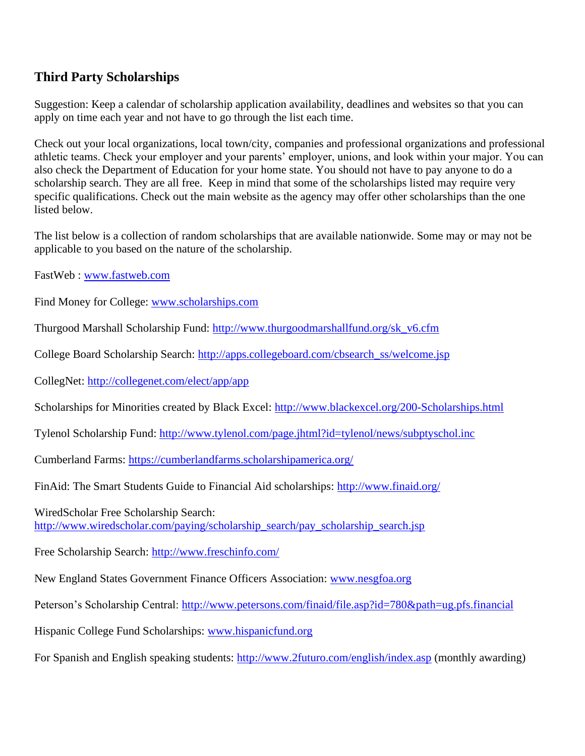## **Third Party Scholarships**

Suggestion: Keep a calendar of scholarship application availability, deadlines and websites so that you can apply on time each year and not have to go through the list each time.

Check out your local organizations, local town/city, companies and professional organizations and professional athletic teams. Check your employer and your parents' employer, unions, and look within your major. You can also check the Department of Education for your home state. You should not have to pay anyone to do a scholarship search. They are all free. Keep in mind that some of the scholarships listed may require very specific qualifications. Check out the main website as the agency may offer other scholarships than the one listed below.

The list below is a collection of random scholarships that are available nationwide. Some may or may not be applicable to you based on the nature of the scholarship.

FastWeb : [www.fastweb.com](http://www.fastweb.com/)

Find Money for College: [www.scholarships.com](http://www.scholarships.com/)

Thurgood Marshall Scholarship Fund: [http://www.thurgoodmarshallfund.org/sk\\_v6.cfm](http://www.thurgoodmarshallfund.org/sk_v6.cfm)

College Board Scholarship Search: [http://apps.collegeboard.com/cbsearch\\_ss/welcome.jsp](http://apps.collegeboard.com/cbsearch_ss/welcome.jsp)

CollegNet:<http://collegenet.com/elect/app/app>

Scholarships for Minorities created by Black Excel:<http://www.blackexcel.org/200-Scholarships.html>

Tylenol Scholarship Fund:<http://www.tylenol.com/page.jhtml?id=tylenol/news/subptyschol.inc>

Cumberland Farms:<https://cumberlandfarms.scholarshipamerica.org/>

FinAid: The Smart Students Guide to Financial Aid scholarships:<http://www.finaid.org/>

WiredScholar Free Scholarship Search: [http://www.wiredscholar.com/paying/scholarship\\_search/pay\\_scholarship\\_search.jsp](http://www.wiredscholar.com/paying/scholarship_search/pay_scholarship_search.jsp)

Free Scholarship Search:<http://www.freschinfo.com/>

New England States Government Finance Officers Association: [www.nesgfoa.org](http://www.nesgfoa.org/)

Peterson's Scholarship Central:<http://www.petersons.com/finaid/file.asp?id=780&path=ug.pfs.financial>

Hispanic College Fund Scholarships: [www.hispanicfund.org](http://www.hispanicfund.org/)

For Spanish and English speaking students:<http://www.2futuro.com/english/index.asp> (monthly awarding)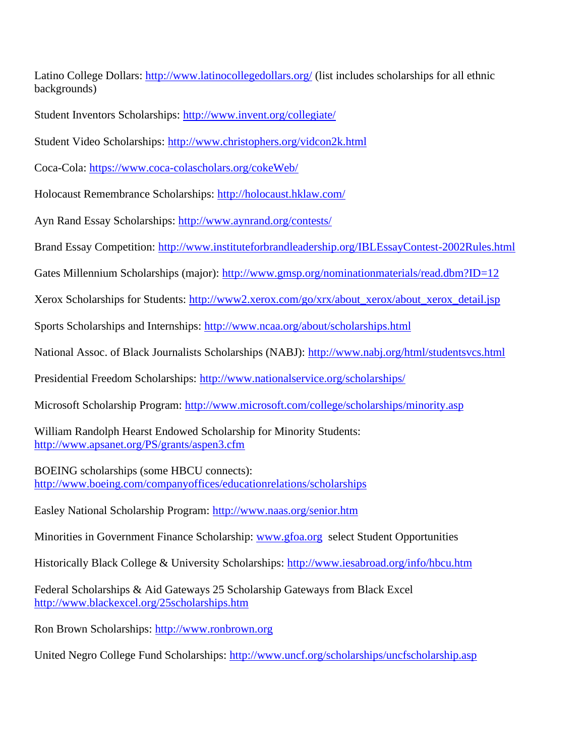Latino College Dollars:<http://www.latinocollegedollars.org/> (list includes scholarships for all ethnic backgrounds)

Student Inventors Scholarships:<http://www.invent.org/collegiate/>

Student Video Scholarships:<http://www.christophers.org/vidcon2k.html>

Coca-Cola: <https://www.coca-colascholars.org/cokeWeb/>

Holocaust Remembrance Scholarships:<http://holocaust.hklaw.com/>

Ayn Rand Essay Scholarships:<http://www.aynrand.org/contests/>

Brand Essay Competition:<http://www.instituteforbrandleadership.org/IBLEssayContest-2002Rules.html>

Gates Millennium Scholarships (major):<http://www.gmsp.org/nominationmaterials/read.dbm?ID=12>

Xerox Scholarships for Students: [http://www2.xerox.com/go/xrx/about\\_xerox/about\\_xerox\\_detail.jsp](http://www2.xerox.com/go/xrx/about_xerox/about_xerox_detail.jsp)

Sports Scholarships and Internships:<http://www.ncaa.org/about/scholarships.html>

National Assoc. of Black Journalists Scholarships (NABJ):<http://www.nabj.org/html/studentsvcs.html>

Presidential Freedom Scholarships:<http://www.nationalservice.org/scholarships/>

Microsoft Scholarship Program:<http://www.microsoft.com/college/scholarships/minority.asp>

William Randolph Hearst Endowed Scholarship for Minority Students: <http://www.apsanet.org/PS/grants/aspen3.cfm>

BOEING scholarships (some HBCU connects): <http://www.boeing.com/companyoffices/educationrelations/scholarships>

Easley National Scholarship Program:<http://www.naas.org/senior.htm>

Minorities in Government Finance Scholarship: [www.gfoa.org](http://www.gfoa.org/) select Student Opportunities

Historically Black College & University Scholarships:<http://www.iesabroad.org/info/hbcu.htm>

Federal Scholarships & Aid Gateways 25 Scholarship Gateways from Black Excel <http://www.blackexcel.org/25scholarships.htm>

Ron Brown Scholarships: [http://www.ronbrown.org](http://www.ronbrown.org/)

United Negro College Fund Scholarships:<http://www.uncf.org/scholarships/uncfscholarship.asp>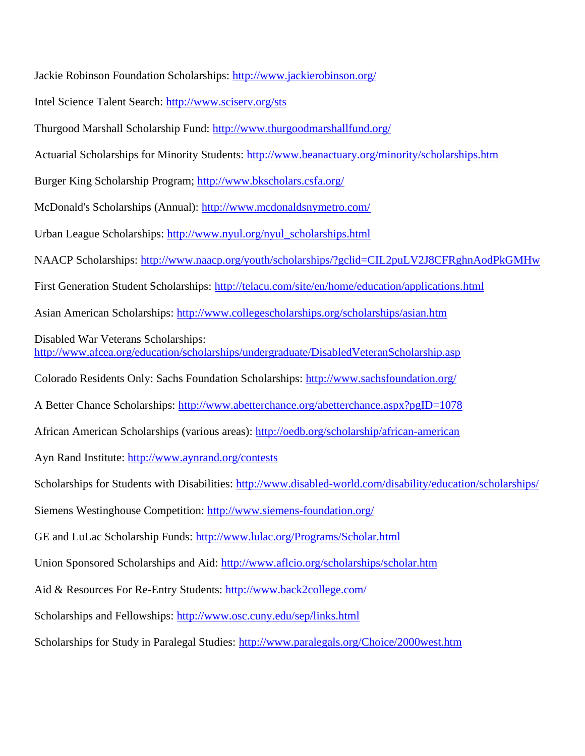Jackie Robinson Foundation Scholarships:<http://www.jackierobinson.org/>

Intel Science Talent Search:<http://www.sciserv.org/sts>

Thurgood Marshall Scholarship Fund:<http://www.thurgoodmarshallfund.org/>

Actuarial Scholarships for Minority Students:<http://www.beanactuary.org/minority/scholarships.htm>

Burger King Scholarship Program;<http://www.bkscholars.csfa.org/>

McDonald's Scholarships (Annual):<http://www.mcdonaldsnymetro.com/>

Urban League Scholarships: [http://www.nyul.org/nyul\\_scholarships.html](http://www.nyul.org/nyul_scholarships.html)

NAACP Scholarships:<http://www.naacp.org/youth/scholarships/?gclid=CIL2puLV2J8CFRghnAodPkGMHw>

First Generation Student Scholarships:<http://telacu.com/site/en/home/education/applications.html>

Asian American Scholarships:<http://www.collegescholarships.org/scholarships/asian.htm>

Disabled War Veterans Scholarships:

<http://www.afcea.org/education/scholarships/undergraduate/DisabledVeteranScholarship.asp>

Colorado Residents Only: Sachs Foundation Scholarships:<http://www.sachsfoundation.org/>

A Better Chance Scholarships:<http://www.abetterchance.org/abetterchance.aspx?pgID=1078>

African American Scholarships (various areas):<http://oedb.org/scholarship/african-american>

Ayn Rand Institute:<http://www.aynrand.org/contests>

Scholarships for Students with Disabilities:<http://www.disabled-world.com/disability/education/scholarships/>

Siemens Westinghouse Competition:<http://www.siemens-foundation.org/>

GE and LuLac Scholarship Funds:<http://www.lulac.org/Programs/Scholar.html>

Union Sponsored Scholarships and Aid:<http://www.aflcio.org/scholarships/scholar.htm>

Aid & Resources For Re-Entry Students:<http://www.back2college.com/>

Scholarships and Fellowships:<http://www.osc.cuny.edu/sep/links.html>

Scholarships for Study in Paralegal Studies: <http://www.paralegals.org/Choice/2000west.htm>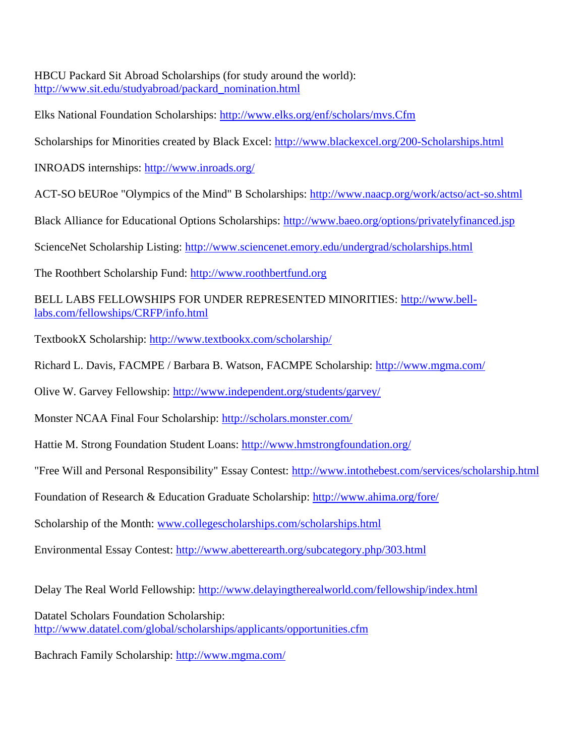HBCU Packard Sit Abroad Scholarships (for study around the world): [http://www.sit.edu/studyabroad/packard\\_nomination.html](http://www.sit.edu/studyabroad/packard_nomination.html)

Elks National Foundation Scholarships:<http://www.elks.org/enf/scholars/mvs.Cfm>

Scholarships for Minorities created by Black Excel:<http://www.blackexcel.org/200-Scholarships.html>

INROADS internships:<http://www.inroads.org/>

ACT-SO bEURoe "Olympics of the Mind" B Scholarships:<http://www.naacp.org/work/actso/act-so.shtml>

Black Alliance for Educational Options Scholarships:<http://www.baeo.org/options/privatelyfinanced.jsp>

ScienceNet Scholarship Listing:<http://www.sciencenet.emory.edu/undergrad/scholarships.html>

The Roothbert Scholarship Fund: [http://www.roothbertfund.org](http://www.roothbertfund.org/)

BELL LABS FELLOWSHIPS FOR UNDER REPRESENTED MINORITIES: [http://www.bell](http://www.bell-labs.com/fellowships/CRFP/info.html)[labs.com/fellowships/CRFP/info.html](http://www.bell-labs.com/fellowships/CRFP/info.html)

TextbookX Scholarship:<http://www.textbookx.com/scholarship/>

Richard L. Davis, FACMPE / Barbara B. Watson, FACMPE Scholarship:<http://www.mgma.com/>

Olive W. Garvey Fellowship:<http://www.independent.org/students/garvey/>

Monster NCAA Final Four Scholarship:<http://scholars.monster.com/>

Hattie M. Strong Foundation Student Loans:<http://www.hmstrongfoundation.org/>

"Free Will and Personal Responsibility" Essay Contest:<http://www.intothebest.com/services/scholarship.html>

Foundation of Research & Education Graduate Scholarship:<http://www.ahima.org/fore/>

Scholarship of the Month: [www.collegescholarships.com/scholarships.html](http://www.collegescholarships.com/scholarships.html)

Environmental Essay Contest:<http://www.abetterearth.org/subcategory.php/303.html>

Delay The Real World Fellowship:<http://www.delayingtherealworld.com/fellowship/index.html>

Datatel Scholars Foundation Scholarship: <http://www.datatel.com/global/scholarships/applicants/opportunities.cfm>

Bachrach Family Scholarship:<http://www.mgma.com/>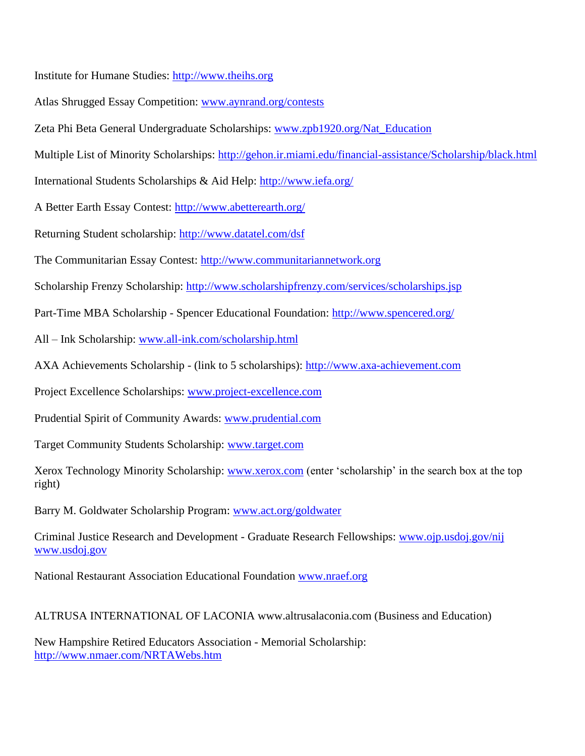Institute for Humane Studies: [http://www.theihs.org](http://www.theihs.org/)

Atlas Shrugged Essay Competition: [www.aynrand.org/contests](http://www.aynrand.org/contests)

Zeta Phi Beta General Undergraduate Scholarships: [www.zpb1920.org/Nat\\_Education](http://www.zpb1920.org/Nat_Education)

Multiple List of Minority Scholarships:<http://gehon.ir.miami.edu/financial-assistance/Scholarship/black.html>

International Students Scholarships & Aid Help:<http://www.iefa.org/>

A Better Earth Essay Contest:<http://www.abetterearth.org/>

Returning Student scholarship:<http://www.datatel.com/dsf>

The Communitarian Essay Contest: [http://www.communitariannetwork.org](http://www.communitariannetwork.org/)

Scholarship Frenzy Scholarship: <http://www.scholarshipfrenzy.com/services/scholarships.jsp>

Part-Time MBA Scholarship - Spencer Educational Foundation:<http://www.spencered.org/>

All – Ink Scholarship: [www.all-ink.com/scholarship.html](http://www.all-ink.com/scholarship.html)

AXA Achievements Scholarship - (link to 5 scholarships): [http://www.axa-achievement.com](http://www.axa-achievement.com/)

Project Excellence Scholarships: [www.project-excellence.com](http://www.project-excellence.com/)

Prudential Spirit of Community Awards: [www.prudential.com](http://www.prudential.com/)

Target Community Students Scholarship: [www.target.com](http://www.target.com/)

Xerox Technology Minority Scholarship: [www.xerox.com](http://www.xerox.com/) (enter 'scholarship' in the search box at the top right)

Barry M. Goldwater Scholarship Program: [www.act.org/goldwater](http://www.act.org/goldwater)

Criminal Justice Research and Development - Graduate Research Fellowships: [www.ojp.usdoj.gov/nij](http://www.ojp.usdoj.gov/nij) [www.usdoj.gov](http://www.usdoj.gov/)

National Restaurant Association Educational Foundation [www.nraef.org](http://www.nraef.org/)

ALTRUSA INTERNATIONAL OF LACONIA www.altrusalaconia.com (Business and Education)

New Hampshire Retired Educators Association - Memorial Scholarship: <http://www.nmaer.com/NRTAWebs.htm>